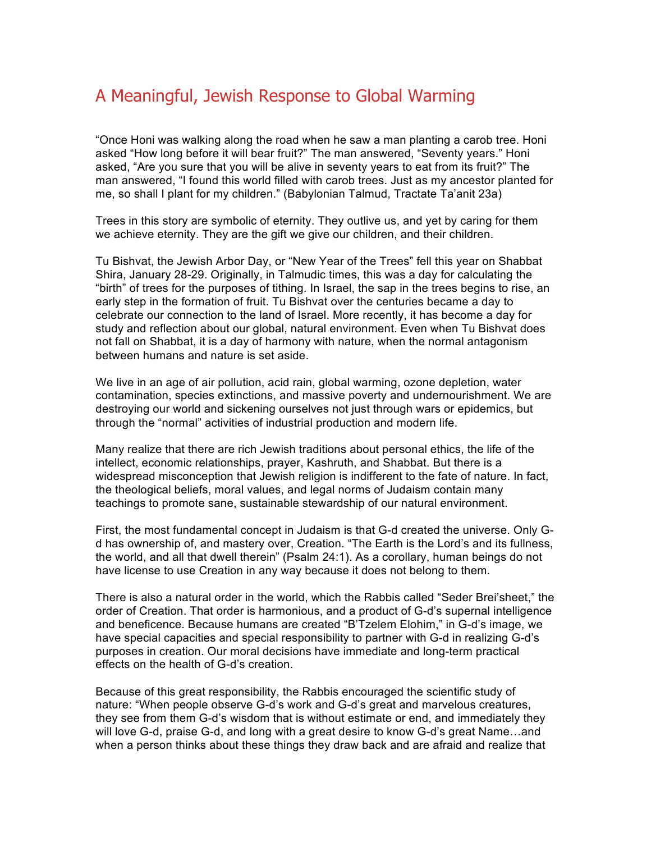## A Meaningful, Jewish Response to Global Warming

"Once Honi was walking along the road when he saw a man planting a carob tree. Honi asked "How long before it will bear fruit?" The man answered, "Seventy years." Honi asked, "Are you sure that you will be alive in seventy years to eat from its fruit?" The man answered, "I found this world filled with carob trees. Just as my ancestor planted for me, so shall I plant for my children." (Babylonian Talmud, Tractate Ta'anit 23a)

Trees in this story are symbolic of eternity. They outlive us, and yet by caring for them we achieve eternity. They are the gift we give our children, and their children.

Tu Bishvat, the Jewish Arbor Day, or "New Year of the Trees" fell this year on Shabbat Shira, January 28-29. Originally, in Talmudic times, this was a day for calculating the "birth" of trees for the purposes of tithing. In Israel, the sap in the trees begins to rise, an early step in the formation of fruit. Tu Bishvat over the centuries became a day to celebrate our connection to the land of Israel. More recently, it has become a day for study and reflection about our global, natural environment. Even when Tu Bishvat does not fall on Shabbat, it is a day of harmony with nature, when the normal antagonism between humans and nature is set aside.

We live in an age of air pollution, acid rain, global warming, ozone depletion, water contamination, species extinctions, and massive poverty and undernourishment. We are destroying our world and sickening ourselves not just through wars or epidemics, but through the "normal" activities of industrial production and modern life.

Many realize that there are rich Jewish traditions about personal ethics, the life of the intellect, economic relationships, prayer, Kashruth, and Shabbat. But there is a widespread misconception that Jewish religion is indifferent to the fate of nature. In fact, the theological beliefs, moral values, and legal norms of Judaism contain many teachings to promote sane, sustainable stewardship of our natural environment.

First, the most fundamental concept in Judaism is that G-d created the universe. Only Gd has ownership of, and mastery over, Creation. "The Earth is the Lord's and its fullness, the world, and all that dwell therein" (Psalm 24:1). As a corollary, human beings do not have license to use Creation in any way because it does not belong to them.

There is also a natural order in the world, which the Rabbis called "Seder Brei'sheet," the order of Creation. That order is harmonious, and a product of G-d's supernal intelligence and beneficence. Because humans are created "B'Tzelem Elohim," in G-d's image, we have special capacities and special responsibility to partner with G-d in realizing G-d's purposes in creation. Our moral decisions have immediate and long-term practical effects on the health of G-d's creation.

Because of this great responsibility, the Rabbis encouraged the scientific study of nature: "When people observe G-d's work and G-d's great and marvelous creatures, they see from them G-d's wisdom that is without estimate or end, and immediately they will love G-d, praise G-d, and long with a great desire to know G-d's great Name…and when a person thinks about these things they draw back and are afraid and realize that